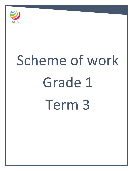

# Scheme of work Grade 1 Term 3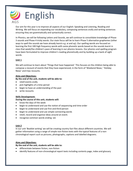

Our aim for this year is to improve all aspects of our English: Speaking and Listening, Reading and Writing. We will focus on expanding our vocabulary, composing sentences orally and writing sentences ensuring they are grammatically and syntactically correct.

In Phonics, we will be following Letters and Sounds, we will continue to consolidate knowledge of Phase 3 sounds and Phase 4 tricky words. Our main focus will be to learn Phase 5 alternative graphemes (other ways to spell the sounds we have already learnt e.g. ai and ay). Our spelling words are focused on learning the first 100 high frequency words with some phonetic words based on the sounds learnt in class that week/the children's pace of learning in our phonics lessons. Our phonics and spelling program have been formulated to improve children's reading phonetically and by building up a bank of sight words.

# **Unit 1**

We will continue to learn about 'Things that have happened.' This focuses on the children being able to compose a recount of events that they have experienced, in the form of 'Weekend News,' 'Holiday News' and trips recounts.

# **Aims and Objectives:**

### **By the end of the unit, students will be able to:**

- retell events orally
- pick highlights of a time period
- begin to have an understanding of the past
- write recounts

# **Skills Development:**

# **During the course of this unit, students will:**

- know the days of the week
- begin to understand and use the notion of sequencing and time order
- begin to understand and use first and third person
- begin to understand and use simple connecting words
- retell, record and organise ideas around an event.
- recognise common words ending -ed.

#### **Unit 2**

In our unit 'Booklet writing' we will be creating country fact files about different countries. We will gather information using a range of simple non-fiction texts with the typical features of a nonchronological report such as pictures, photographs, captions and labelled diagrams.

#### **Aims and Objectives:**

#### **By the end of the unit, students will be able to:**

- **•** differentiate between fiction, non-fiction
- identify features of non-chronological report texts including contents page, index and glossary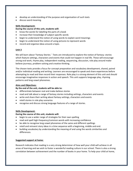- develop an understanding of the purpose and organisation of such texts
- discuss word meaning.

## **Skills Development:**

### **During the course of this unit, students will:**

- know the words for labelling the parts of a book
- increase their knowledge of subject-specific words
- begin to understand the notion of using words to explain word meanings
- begin to understand the notion of using pictures to represent words
- record and organise ideas around a topic.

# **Unit 3**

We will learn about 'Fantasy Stories.' Texts are introduced to explore the notion of fantasy: stories which feature settings, characters and events that could not happen in real life. These will encourage strong oral work, rhyme play, independent reading, sequencing, discussion, role play around makebelieve journeys, problem-solving and creative thinking.

The chosen texts provide a focus for concept preparation and vocabulary development, shared, paired and/or individual reading and writing. Learners are encouraged to speak and share experiences before attempting to read and then record their responses. Role play is a strong element of this unit and should encourage imaginative responses in action and speech. This unit supports language play, rhyming patterns and long vowel phonemes.

## **Aims and Objectives:**

# **By the end of the unit, students will be able to:**

- differentiate between real and make-believe stories
- read and talk about a range of fantasy stories including settings, characters and events
- write and share their writing about fantasy settings, characters and events
- retell stories in role play scenarios
- recognise and discuss strong language features of a range of stories.

#### **Skills Development:**

# **During the course of this unit, students will:**

- begin to use a wider range of strategies for their own spelling
- read and spell high-frequency/common words with increasing confidence
- be able to recognise long vowel phonemes of the same and different spellings
- retell and reinvent story ideas in a time sequence with a beginning, middle and end.
- building vocabulary by understanding the meaning of and using the words similarities and differences.

# **Suggested support at home:**

Research indicates that reading is a very strong determiner of how well your child will achieve in all areas of learning and we wish to foster a wonderful reading culture in our school. There is also a strong correlation between achievement and the number of books in your home. To help your child at home,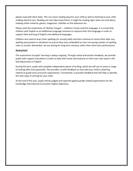please read with them daily. This can mean reading aloud to your child as well as listening to your child reading aloud to you. Reading can also take many forms; it might be reading signs when out and about, reading online material, games, magazines, subtitles on the television etc.

Please note the importance of 'Mother Tongue' – children's home and first language. It is crucial that children with English as an Additional Language continue to improve their first language in order to support their learning of English and additional languages.

Children also need to learn their spellings (or sounds) daily and then continue to revise them after any spelling assessments or dictations to ensure they have embedded an ever increasing number of spelling rules or sounds. Remember, we are aiming for long term memory rather than short term performance.

#### **Assessment**

The assessment of pupils' learning is always ongoing. Through verbal and written feedback, we provide pupils with support and advice in order to help them know and improve on their own next steps in the learning process in English.

During the term, pupils will complete independent pieces of writing, which we will use to assess a range of writing skills more generally. This provides us with feedback on how well your child is attaining relative to grade and curriculum expectations. Formatively, it provides feedback that will help us identify the next steps in writing for your child.

At the end of the year, pupils will be judged and reported against grade related expectations for the Cambridge International Curriculum English objectives.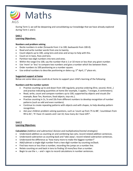

During Term 3, we will be deepening and consolidating our knowledge that we have already explored during Term 1 and 2.

# **Unit 1 Learning Objectives:**

# **Numbers and problem solving**

- Recite numbers in order (forwards from 1 to 100, backwards from 100-0).
- Read and write number words from one to twenty.
- Count objects up to 100, using tens and ones and arrays to help with this.
- Count on in twos, fives and tens.
- Partition two-digit numbers into tens and ones.
- Within the range 0 to 100, say the number that is 1 or 10 more or less than any given number.
- Use 'more' or 'less' to compare two numbers and give a number which lies between them.
- Order numbers to 100 positioning on a number square.
- Use ordinal numbers to describe positioning or dates e.g.  $5<sup>th</sup>$  April,  $1<sup>st</sup>$  place etc.

# **Suggested support at home**

Below are some ideas you could do at home to support your child's learning of the following:

# **Numbers and the number system**

- Practise counting up to and down from 100 regularly; practise ordering (first, second, third…) and practise indicating quantities at home (for example, 5 apples, 7 oranges, 6 centimeters).
- Read, write, count and compare numbers up to 100, supported by objects and visuals (for example, Base Ten, Numicon, food objects, toys etc.).
- Practise counting in 2s, 5s and 10s from different numbers to develop recognition of number patterns (such as odd and even numbers).
- Continue to create repeating patterns with objects and with shapes, to help develop pattern recognition.
- Ask your children problem solving questions, such as 'count up from 75 to 88'; 'countdown from 99 to 81'; 'If I have 15 sweets and I eat 10, how many do I have left?'.

# **Unit 2 Learning Objectives:**

**Calculation** (*Addition and subtraction/ division and multiplication/mental strategies*)

- Understand addition as counting on and combining two sets; record related addition sentences.
- Understand subtraction as counting back and 'take away'; record related subtraction sentences.
- Understand the difference as 'how many more to make the biggest number?'
- Add/subtract a single-digit number from a two-digit number by counting on/back.
- Find two more or less than a number, recording the jumps on a number line.
- Relate counting on and back in tens to finding 10 more/less than a number.
- Begin to use the  $+$ ,  $-$  and  $=$  signs to record calculations in number sentences.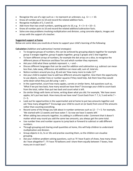- Recognise the use of a sign such as  $\Box$  to represent an unknown, e.g.  $6 + \Box = 10$ .
- Know all number pairs to 10 and record the related addition facts.
- Recognise multiples of 2, 5 and 10.
- Add more than two small numbers, spotting pairs to 10, e.g.  $4 + 3 + 6 = 10 + 3$ .
- Know all number pairs to 10 and record the related addition/subtraction facts.
- Solve one-step problems involving multiplication and division, using concrete objects, images and arrays with the support of a teacher.

# **Suggested support at home**

Below are some ideas you could do at home to support your child's learning of the following:

# **Calculation** (*Addition and subtraction/ mental strategies*)

- To recognise groups of numbers, this can be achieved by grouping objects together for example group 3 oranges together, group 4 apples together, group 3 grapes and 1 kiwi together.
- To learn different arrays of numbers, for example the dot arrays on a dice, to recognise the different pieces of Numicon and Base Ten and which number they represent.
- Ask your child what these symbols represent:  $+$ , = and  $-$ .
- Discuss different languages that can be used for addition and subtraction e.g. subtract can mean less than, take away, difference and addition can mean add, sum of, total etc.
- Notice numbers around you (e.g. 8) and ask 'How many more to make 12?'
- Ask your child to explain how to add two different amounts together. Give them the opportunity to use objects, number lines or number squares if they need help. Ask them how they would write down what they just did using + and =.
- In the supermarket, count how many apples, carrots or similar items. Ask questions such as, 'What if we put two back, how many would we have then?' Encourage your child to count back from the total, rather than put two back and count what is left.
- Do similar things with items at home, writing down what you did. For example, 'We have seven apples, let's put two back. How many do we have now? Count back from 7: 7, 6, 5 and write  $7 2 = 5.$
- Look out for opportunities in the supermarket and at home to put two amounts together and ask 'How many altogether?' Encourage your child to count on (or back) from one of the amounts rather than counting everything.
- Record some of the things you talk about in number sentences such as  $12 7 = 5$ . For example, 'We started with 12 sweets and have eaten 7. So now we have 5 sweets left.'
- When adding two amounts together, try adding in a different order. Comment that it doesn't matter which way round you add the same two amounts, you always get the same total.
- Use number lines and number squares to jump back or forward to subtract or add different numbers.
- Through grouping and sharing small quantities at home, this will help children to understand multiplication and division.
- Group objects in 2s, 5s or 10s and practise counting them, so the children can visualise grouping.
- Ask your children problem solving questions, such as 'if I have 9 pairs of shoes, how many shoes do I have altogether?'; 'if I have 70 balloons and I share them equally between 7 boxes, how many are in each box?'.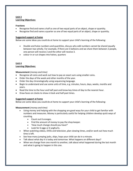# **Unit 3 Learning Objectives:**

### **Fractions**

- Recognise find and name a half as one of two equal parts of an object, shape or quantity.
- Recognise find and name a quarter as one of two equal parts of an object, shape or quantity.

### **Suggested support at home**

Below are some ideas you could do at home to support your child's learning of the following:

- Double and halve numbers and quantities, discuss why odd numbers cannot be shared equally between two wholly. For example, if there are 5 balloons and we share them between 2 people, one person will receive 2 and the other will receive 3.
- colour in or cut shapes into halves, quarters

# **Unit 4 Learning Objectives:**

### **Measurement** *(money and time)*

- Recognise all coins and work out how to pay an exact sum using smaller coins.
- Order the days of the week and other months of the year.
- Order the day chronologically using sequencing language.
- Begin to understand and use some units of time, e.g. minutes, hours, days, weeks, months and years.
- Read the time to the hour and half past and know key times of day to the nearest hour.
- Draw faces on clocks to show o'clock and half past times.

# **Suggested support at home**

Below are some ideas you could do at home to support your child's learning of the following:

#### **Measurement** *(money and time)*

- Using money and helping with the shopping are good ways for your child to get familiar with numbers and measures. Money is particularly useful for helping children develop quick ways of counting.
	- Count out 6 oranges.
	- Find the amount of money to pay the shop keeper.
	- 'How much change should you have?'
	- Look for 6 eggs or 6 yoghurts.
- When watching videos, DVDs and television, plan viewing times, and/or work out how much time is left.
- See how many jumping jacks, skips, hops your child can do in a minute.
- Talk about what day it is today and tomorrow. What happens on different days?
- When we change from one month to another, talk about what happened during the last month and what is going to happen in this one.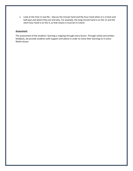Look at the time in real life – discuss the minute hand and the hour hand when it is o'clock and half past and where they are and why. For example, the long minute hand is on the 12 and the short hour hand is on the 4, so that means it must be 4 o'clock!

## **Assessment**

The assessment of the students' learning is ongoing through every lesson. Through verbal and written feedback, we provide students with support and advice in order to move their learning on in every Maths lesson.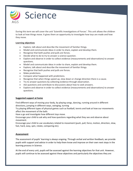

During this term we will cover the unit 'Scientific Investigations of Forces'. This unit allows the children to look at how things move. It gives them an opportunity to investigate how toys are made and how they move.

# **Learning objectives**

- Explore, talk about and describe the movement of familiar things.
- Model and communicate ideas in order to share, explain and develop them.
- Recognise that both pushes and pulls are forces.
- Decide what to do to try to answer a science question.
- Explore and observe in order to collect evidence (measurements and observations) to answer questions.
- Model and communicate ideas in order to share, explain and develop them.
- Explore, talk about and describe the movement of familiar things.
- Recognise that both pushes and pulls are forces.
- Make predictions.
- Compare what happened with predictions.
- Recognise that when things speed up, slow down or change direction there is a cause.
- Try to answer questions by collecting evidence through observation.
- Ask questions and contribute to discussions about how to seek answers.
- Explore and observe in order to collect evidence (measurements and observations) to answer questions.

# **Suggested support at home**

Find different ways of moving your body, by playing songs, dancing, running around in different directions, jumping in different ways, swinging, turning

Try playing different types of physical games such as football, tennis and look at how our movements affect the movement of the balls

Have a go and investigate how different toys move.

Encourage your child to ask why and how questions regarding what they see and observe about movement.

Encourage your child to use vocabulary related to movement (push, pull, force, motion, direction, slow, fast, hard, easy, spin, rotate, comparing etc).

# **Assessment**

The assessment of pupils' learning is always ongoing. Through verbal and written feedback, we provide pupils with support and advice in order to help them know and improve on their own next steps in the learning process in Science.

At the end of every unit, pupils will be assessed against the learning objectives for that unit. However, pupils will continue to be assessed against these objectives and particularly the objectives they are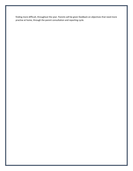finding more difficult, throughout the year. Parents will be given feedback on objectives that need more practise at home, through the parent consultation and reporting cycle.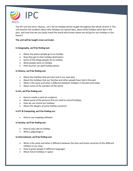

The IPC unit this term, Hooray...Let's Go On Holiday will be taught throughout the whole of term 3. The unit teaches the students about why Holidays are special days, about what holidays were like in the past, and now that we can easily travel the world who knows where we will go for our holidays in the future?

## **The unit will be taught cross-curricular:**

### **In Geography, we'll be finding out:**

- About the places people go to on holiday
- How they get to their holiday destination
- Some of the things people do on holiday
- What people wear on holiday
- How tourism can spoil holiday places

### **In History, we'll be finding out:**

- About the holidays that we have had in our own past
- About the holidays that our families and other people have had in the past
- What is the same and what is different between holidays in the past and today
- About some of the wonders of the world

#### **In Art, we'll be finding out:**

- How to create a sand art sculpture
- About some of the pictures that are used to record holidays
- How we can record our holidays
- About the designs of some holiday souvenirs

#### **In ICT & Computing, we'll be finding ou**t:

• How to use mapping software

#### **In Society, we'll be finding out:**

- How to stay safe on holiday
- What a pilgrimage is

# **In International, we'll be finding out:**

- What is the same and what is different between the lives and home countries of the different children in our class
- How to greet people in different languages
- About future holidays in space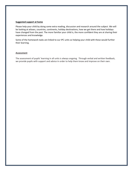#### **Suggested support at home**

Please help your child by doing some extra reading, discussion and research around the subject. We will be looking at atlases, countries, continents, holiday destinations, how we get there and how holidays have changed from the past. The more familiar your child is, the more confident they are at sharing their experiences and knowledge.

Some of the homework tasks are linked to our IPC units so helping your child with these would further their learning.

#### **Assessment**

The assessment of pupils' learning in all units is always ongoing. Through verbal and written feedback, we provide pupils with support and advice in order to help them know and improve on their own.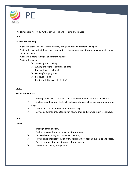

This term pupils will study PE through Striking and Fielding and Fitness;

# **Unit 1**

# **Striking and Fielding:**

- Pupils will begin to explore using a variety of equipment and problem-solving skills.
- Pupils will develop their hand-eye coordination using a number of different implements to throw, catch and strike.
- Pupils will explore the flight of different objects.
- Pupils will develop;
	- $\triangleright$  Throwing and Catching
		- $\triangleright$  Judging the flight of different objects
	- $\triangleright$  Moving towards a target
	- $\triangleright$  Fielding/Stopping a ball
	- $\triangleright$  Retrieval of a ball
	- $\triangleright$  Batting a stationary ball off of a T

# **Unit 2**

# **Health and Fitness:**

- Through the use of health and skill related components of fitness pupils will...
- $\triangleright$  Explore how their body feels/ physiological changes when exercising in different ways.
- $\triangleright$  Understand the health benefits for exercising.
- $\triangleright$  Develop a further understanding of how to train and exercise in different ways.

# **Unit 3**

# **Dance:**

- Through dance pupils will
- $\triangleright$  Explore how our body can move in different ways.
- $\triangleright$  Develop basic timing and movement memory.
- $\triangleright$  Have a basic understanding of RADS- relationships, actions, dynamics and space.
- $\triangleright$  Gain an appreciation for different cultural dances.
- $\triangleright$  Create a short story using dance.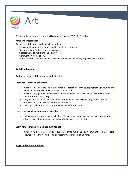

This term the students of grade 1 will commence a new IPC Topic, 'Holiday'.

## **Aims and Objectives:**

### **By the end of the unit, students will be able to:**

- Know about some of the forms used by artists in their work.
- Use a variety of materials and processes.
- Suggest ways of improving their own work.
- Comment on works of art.
- Understand that the work of artists can be seen in a wide variety of places and situations.

#### **Skills Development**

### **During the course of these units, students will:**

#### **Learn how to make a sandcastle**

- Pupils will discuss if they have ever made a sandcastle or sand sculpture; talking about where, when and how they made it, and who helped them.
- Pupils will design their sandcastle/sculpture on paper first. They will be encouraged to be adventurous in their design.
- They will make lists of any accessories or ornaments they will need, e.g. shells, pebbles, driftwood etc., and to source these in advance.
- The pupils will take photographs or videos at different stages.

#### **Learn how to make a homemade paper fan**

 Following a step-by-step video, children will try to make their own paper fan, they are also allowed to use their own design and creativity to decorate the fan.

#### **Learn how to make a homemade summer hat**

 By following a step-by-step video, pupils will try to make their own summer hat, they are also allowed to use their own design and creativity to make original hats.

#### **Suggested support at home:**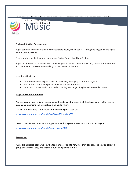help your child enrich their artistic lives at home, parents can support by creating more artistic



#### **Pitch and Rhythm Development**

Pupils continue learning to sing the musical scale do, re, mi, fa, sol, la, ti using it to sing and hand sign a variety of simple songs.

They learn to sing the Japanese song about Spring Time called Haru Ga Kita.

Pupils are introduced to a variety of hand held percussion instruments including timbales, tambourines and djembes and we continue working on their sense of rhythm.

#### **Learning objectives**

- To use their voices expressively and creatively by singing chants and rhymes.
- Play untuned and tuned percussion instruments musically
- Listen with concentration and understanding to a range of high quality recorded music.

#### **Suggested support at home**

You can support your child by encouraging them to sing the songs that they have learnt in their music lesson and by singing the musical scale using do, re, mi.

This link from Primary Music Prodigies have some great activities:

<https://www.youtube.com/watch?v=z9WAvSPjHmY&t=582s>

Listen to a variety of music at home, perhaps exploring composers such as Bach and Haydn:

<https://www.youtube.com/watch?v=pdsyNwUoON0>

#### **Assessment**

Pupils are assessed each week by the teacher according to how well they can play and sing as part of a group and whether they are singing in tune and playing in time.